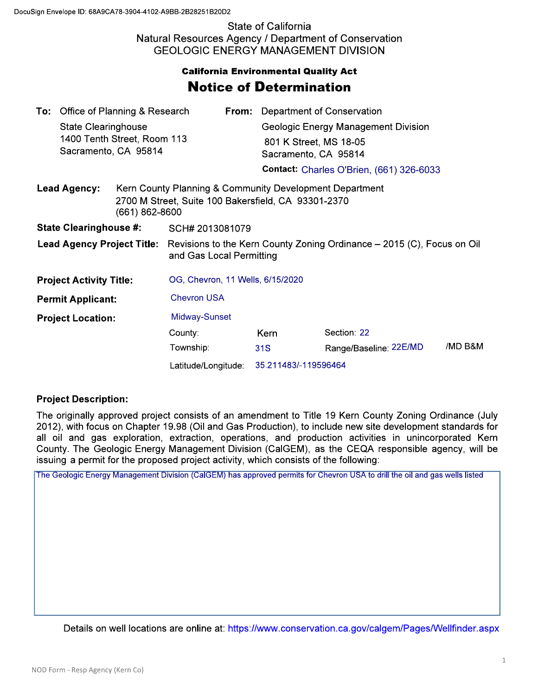State of California Natural Resources Agency / Department of Conservation GEOLOGIC ENERGY MANAGEMENT DIVISION

## Notice of Determination **California Environmental Quality Act**

|                                       | <b>To:</b> Office of Planning & Research<br><b>State Clearinghouse</b><br>1400 Tenth Street, Room 113<br>Sacramento, CA 95814 |                     |                                                                                                                                      | From:                | Department of Conservation                                                            |                        |         |  |
|---------------------------------------|-------------------------------------------------------------------------------------------------------------------------------|---------------------|--------------------------------------------------------------------------------------------------------------------------------------|----------------------|---------------------------------------------------------------------------------------|------------------------|---------|--|
|                                       |                                                                                                                               |                     |                                                                                                                                      |                      | Geologic Energy Management Division<br>801 K Street, MS 18-05<br>Sacramento, CA 95814 |                        |         |  |
|                                       |                                                                                                                               |                     |                                                                                                                                      |                      | <b>Contact: Charles O'Brien, (661) 326-6033</b>                                       |                        |         |  |
| <b>Lead Agency:</b><br>(661) 862-8600 |                                                                                                                               |                     | Kern County Planning & Community Development Department<br>2700 M Street, Suite 100 Bakersfield, CA 93301-2370                       |                      |                                                                                       |                        |         |  |
| <b>State Clearinghouse #:</b>         |                                                                                                                               |                     | SCH# 2013081079                                                                                                                      |                      |                                                                                       |                        |         |  |
|                                       |                                                                                                                               |                     | <b>Lead Agency Project Title:</b> Revisions to the Kern County Zoning Ordinance – 2015 (C), Focus on Oil<br>and Gas Local Permitting |                      |                                                                                       |                        |         |  |
| <b>Project Activity Title:</b>        |                                                                                                                               |                     | OG, Chevron, 11 Wells, 6/15/2020                                                                                                     |                      |                                                                                       |                        |         |  |
| <b>Permit Applicant:</b>              |                                                                                                                               |                     | <b>Chevron USA</b>                                                                                                                   |                      |                                                                                       |                        |         |  |
| <b>Project Location:</b>              |                                                                                                                               |                     | Midway-Sunset                                                                                                                        |                      |                                                                                       |                        |         |  |
|                                       |                                                                                                                               |                     | County:                                                                                                                              |                      | <b>Kern</b>                                                                           | Section: 22            |         |  |
|                                       |                                                                                                                               |                     | Township:                                                                                                                            |                      | 31S                                                                                   | Range/Baseline: 22E/MD | /MD B&M |  |
|                                       |                                                                                                                               | Latitude/Longitude: |                                                                                                                                      | 35.211483/-119596464 |                                                                                       |                        |         |  |

## **Project Description:**

The originally approved project consists of an amendment to Title 19 Kern County Zoning Ordinance (July 2012), with focus on Chapter 19.98 (Oil and Gas Production), to include new site development standards for all oil and gas exploration, extraction, operations, and production activities in unincorporated Kern County. The Geologic Energy Management Division (CalGEM), as the CEQA responsible agency, will be issuing a permit for the proposed project activity, which consists of the following:

The Geologic Energy Management Division (CalGEM) has approved permits for Chevron USA to drill the oil and gas wells listed

Details on well locations are online at: https://www.conservation.ca.gov/calgem/Pages/Wellfinder.aspx